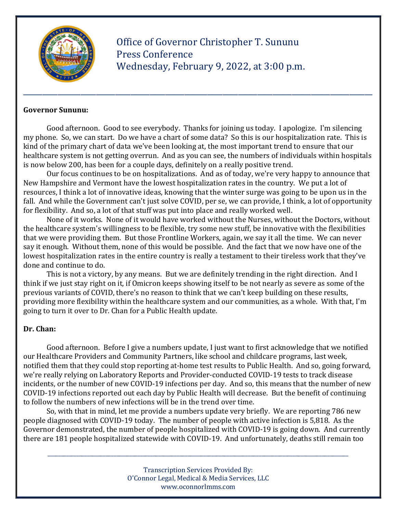

 Office of Governor Christopher T. Sununu Press Conference Wednesday, February 9, 2022, at 3:00 p.m.

#### Governor Sununu:

Good afternoon. Good to see everybody. Thanks for joining us today. I apologize. I'm silencing my phone. So, we can start. Do we have a chart of some data? So this is our hospitalization rate. This is kind of the primary chart of data we've been looking at, the most important trend to ensure that our healthcare system is not getting overrun. And as you can see, the numbers of individuals within hospitals is now below 200, has been for a couple days, definitely on a really positive trend.

\_\_\_\_\_\_\_\_\_\_\_\_\_\_\_\_\_\_\_\_\_\_\_\_\_\_\_\_\_\_\_\_\_\_\_\_\_\_\_\_\_\_\_\_\_\_\_\_\_\_\_\_\_\_\_\_\_\_\_\_\_\_\_\_\_\_\_\_\_\_\_\_\_\_\_\_\_\_\_\_\_\_\_\_\_\_\_\_\_\_\_

 Our focus continues to be on hospitalizations. And as of today, we're very happy to announce that New Hampshire and Vermont have the lowest hospitalization rates in the country. We put a lot of resources, I think a lot of innovative ideas, knowing that the winter surge was going to be upon us in the fall. And while the Government can't just solve COVID, per se, we can provide, I think, a lot of opportunity for flexibility. And so, a lot of that stuff was put into place and really worked well.

 None of it works. None of it would have worked without the Nurses, without the Doctors, without the healthcare system's willingness to be flexible, try some new stuff, be innovative with the flexibilities that we were providing them. But those Frontline Workers, again, we say it all the time. We can never say it enough. Without them, none of this would be possible. And the fact that we now have one of the lowest hospitalization rates in the entire country is really a testament to their tireless work that they've done and continue to do.

 This is not a victory, by any means. But we are definitely trending in the right direction. And I think if we just stay right on it, if Omicron keeps showing itself to be not nearly as severe as some of the previous variants of COVID, there's no reason to think that we can't keep building on these results, providing more flexibility within the healthcare system and our communities, as a whole. With that, I'm going to turn it over to Dr. Chan for a Public Health update.

#### Dr. Chan:

 Good afternoon. Before I give a numbers update, I just want to first acknowledge that we notified our Healthcare Providers and Community Partners, like school and childcare programs, last week, notified them that they could stop reporting at-home test results to Public Health. And so, going forward, we're really relying on Laboratory Reports and Provider-conducted COVID-19 tests to track disease incidents, or the number of new COVID-19 infections per day. And so, this means that the number of new COVID-19 infections reported out each day by Public Health will decrease. But the benefit of continuing to follow the numbers of new infections will be in the trend over time.

 So, with that in mind, let me provide a numbers update very briefly. We are reporting 786 new people diagnosed with COVID-19 today. The number of people with active infection is 5,818. As the Governor demonstrated, the number of people hospitalized with COVID-19 is going down. And currently there are 181 people hospitalized statewide with COVID-19. And unfortunately, deaths still remain too

> Transcription Services Provided By: O'Connor Legal, Medical & Media Services, LLC www.oconnorlmms.com

\_\_\_\_\_\_\_\_\_\_\_\_\_\_\_\_\_\_\_\_\_\_\_\_\_\_\_\_\_\_\_\_\_\_\_\_\_\_\_\_\_\_\_\_\_\_\_\_\_\_\_\_\_\_\_\_\_\_\_\_\_\_\_\_\_\_\_\_\_\_\_\_\_\_\_\_\_\_\_\_\_\_\_\_\_\_\_\_\_\_\_\_\_\_\_\_\_\_\_\_\_\_\_\_\_\_\_\_\_\_\_\_\_\_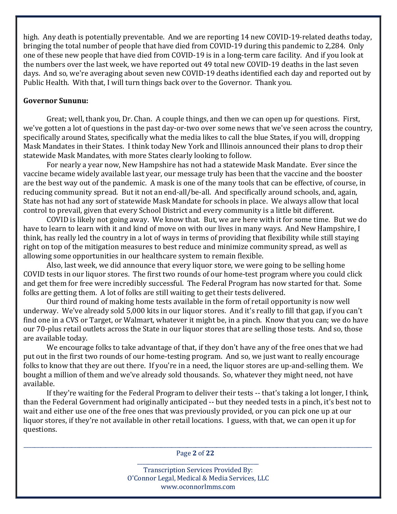high. Any death is potentially preventable. And we are reporting 14 new COVID-19-related deaths today, bringing the total number of people that have died from COVID-19 during this pandemic to 2,284. Only one of these new people that have died from COVID-19 is in a long-term care facility. And if you look at the numbers over the last week, we have reported out 49 total new COVID-19 deaths in the last seven days. And so, we're averaging about seven new COVID-19 deaths identified each day and reported out by Public Health. With that, I will turn things back over to the Governor. Thank you.

### Governor Sununu:

 Great; well, thank you, Dr. Chan. A couple things, and then we can open up for questions. First, we've gotten a lot of questions in the past day-or-two over some news that we've seen across the country, specifically around States, specifically what the media likes to call the blue States, if you will, dropping Mask Mandates in their States. I think today New York and Illinois announced their plans to drop their statewide Mask Mandates, with more States clearly looking to follow.

 For nearly a year now, New Hampshire has not had a statewide Mask Mandate. Ever since the vaccine became widely available last year, our message truly has been that the vaccine and the booster are the best way out of the pandemic. A mask is one of the many tools that can be effective, of course, in reducing community spread. But it not an end-all/be-all. And specifically around schools, and, again, State has not had any sort of statewide Mask Mandate for schools in place. We always allow that local control to prevail, given that every School District and every community is a little bit different.

 COVID is likely not going away. We know that. But, we are here with it for some time. But we do have to learn to learn with it and kind of move on with our lives in many ways. And New Hampshire, I think, has really led the country in a lot of ways in terms of providing that flexibility while still staying right on top of the mitigation measures to best reduce and minimize community spread, as well as allowing some opportunities in our healthcare system to remain flexible.

 Also, last week, we did announce that every liquor store, we were going to be selling home COVID tests in our liquor stores. The first two rounds of our home-test program where you could click and get them for free were incredibly successful. The Federal Program has now started for that. Some folks are getting them. A lot of folks are still waiting to get their tests delivered.

 Our third round of making home tests available in the form of retail opportunity is now well underway. We've already sold 5,000 kits in our liquor stores. And it's really to fill that gap, if you can't find one in a CVS or Target, or Walmart, whatever it might be, in a pinch. Know that you can; we do have our 70-plus retail outlets across the State in our liquor stores that are selling those tests. And so, those are available today.

 We encourage folks to take advantage of that, if they don't have any of the free ones that we had put out in the first two rounds of our home-testing program. And so, we just want to really encourage folks to know that they are out there. If you're in a need, the liquor stores are up-and-selling them. We bought a million of them and we've already sold thousands. So, whatever they might need, not have available.

 If they're waiting for the Federal Program to deliver their tests -- that's taking a lot longer, I think, than the Federal Government had originally anticipated -- but they needed tests in a pinch, it's best not to wait and either use one of the free ones that was previously provided, or you can pick one up at our liquor stores, if they're not available in other retail locations. I guess, with that, we can open it up for questions.

\_\_\_\_\_\_\_\_\_\_\_\_\_\_\_\_\_\_\_\_\_\_\_\_\_\_\_\_\_\_\_\_\_\_\_\_\_\_\_\_\_\_\_\_\_\_\_\_\_\_\_\_\_\_\_\_\_\_\_\_\_\_\_\_\_\_\_\_\_\_\_\_\_\_\_\_\_\_\_\_\_\_\_\_\_\_\_\_\_\_\_\_\_\_\_\_\_\_\_\_\_\_\_\_\_\_\_\_\_\_\_\_\_\_\_\_\_\_\_\_\_\_\_\_\_\_\_\_\_\_\_\_ Page 2 of 22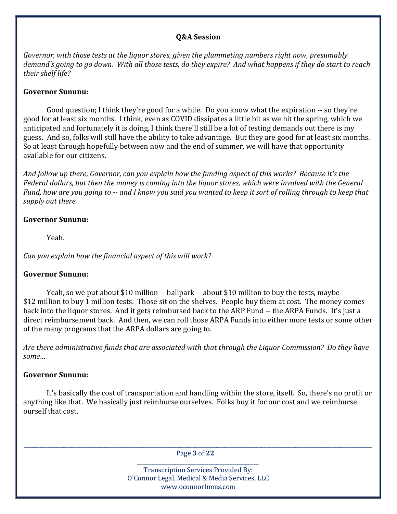#### Q&A Session

Governor, with those tests at the liquor stores, given the plummeting numbers right now, presumably demand's going to go down. With all those tests, do they expire? And what happens if they do start to reach their shelf life?

#### Governor Sununu:

 Good question; I think they're good for a while. Do you know what the expiration -- so they're good for at least six months. I think, even as COVID dissipates a little bit as we hit the spring, which we anticipated and fortunately it is doing, I think there'll still be a lot of testing demands out there is my guess. And so, folks will still have the ability to take advantage. But they are good for at least six months. So at least through hopefully between now and the end of summer, we will have that opportunity available for our citizens.

And follow up there, Governor, can you explain how the funding aspect of this works? Because it's the Federal dollars, but then the money is coming into the liquor stores, which were involved with the General Fund, how are you going to -- and I know you said you wanted to keep it sort of rolling through to keep that supply out there.

### Governor Sununu:

Yeah.

Can you explain how the financial aspect of this will work?

### Governor Sununu:

 Yeah, so we put about \$10 million -- ballpark -- about \$10 million to buy the tests, maybe \$12 million to buy 1 million tests. Those sit on the shelves. People buy them at cost. The money comes back into the liquor stores. And it gets reimbursed back to the ARP Fund -- the ARPA Funds. It's just a direct reimbursement back. And then, we can roll those ARPA Funds into either more tests or some other of the many programs that the ARPA dollars are going to.

Are there administrative funds that are associated with that through the Liquor Commission? Do they have some…

### Governor Sununu:

 It's basically the cost of transportation and handling within the store, itself. So, there's no profit or anything like that. We basically just reimburse ourselves. Folks buy it for our cost and we reimburse ourself that cost.

\_\_\_\_\_\_\_\_\_\_\_\_\_\_\_\_\_\_\_\_\_\_\_\_\_\_\_\_\_\_\_\_\_\_\_\_\_\_\_\_\_\_\_\_\_\_\_\_\_\_\_\_\_\_\_\_\_\_\_\_\_\_\_\_\_\_\_\_\_\_\_\_\_\_\_\_\_\_\_\_\_\_\_\_\_\_\_\_\_\_\_\_\_\_\_\_\_\_\_\_\_\_\_\_\_\_\_\_\_\_\_\_\_\_\_\_\_\_\_\_\_\_\_\_\_\_\_\_\_\_\_\_ Page 3 of 22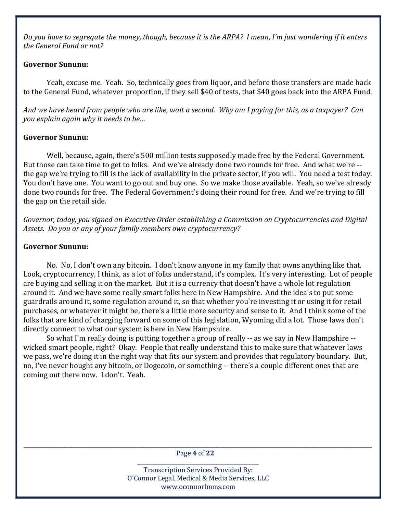Do you have to segregate the money, though, because it is the ARPA? I mean, I'm just wondering if it enters the General Fund or not?

### Governor Sununu:

 Yeah, excuse me. Yeah. So, technically goes from liquor, and before those transfers are made back to the General Fund, whatever proportion, if they sell \$40 of tests, that \$40 goes back into the ARPA Fund.

And we have heard from people who are like, wait a second. Why am I paying for this, as a taxpayer? Can you explain again why it needs to be…

### Governor Sununu:

 Well, because, again, there's 500 million tests supposedly made free by the Federal Government. But those can take time to get to folks. And we've already done two rounds for free. And what we're - the gap we're trying to fill is the lack of availability in the private sector, if you will. You need a test today. You don't have one. You want to go out and buy one. So we make those available. Yeah, so we've already done two rounds for free. The Federal Government's doing their round for free. And we're trying to fill the gap on the retail side.

Governor, today, you signed an Executive Order establishing a Commission on Cryptocurrencies and Digital Assets. Do you or any of your family members own cryptocurrency?

# Governor Sununu:

 No. No, I don't own any bitcoin. I don't know anyone in my family that owns anything like that. Look, cryptocurrency, I think, as a lot of folks understand, it's complex. It's very interesting. Lot of people are buying and selling it on the market. But it is a currency that doesn't have a whole lot regulation around it. And we have some really smart folks here in New Hampshire. And the idea's to put some guardrails around it, some regulation around it, so that whether you're investing it or using it for retail purchases, or whatever it might be, there's a little more security and sense to it. And I think some of the folks that are kind of charging forward on some of this legislation, Wyoming did a lot. Those laws don't directly connect to what our system is here in New Hampshire.

 So what I'm really doing is putting together a group of really -- as we say in New Hampshire - wicked smart people, right? Okay. People that really understand this to make sure that whatever laws we pass, we're doing it in the right way that fits our system and provides that regulatory boundary. But, no, I've never bought any bitcoin, or Dogecoin, or something -- there's a couple different ones that are coming out there now. I don't. Yeah.

\_\_\_\_\_\_\_\_\_\_\_\_\_\_\_\_\_\_\_\_\_\_\_\_\_\_\_\_\_\_\_\_\_\_\_\_\_\_\_\_\_\_\_\_\_\_\_\_\_\_\_\_\_\_\_\_\_\_\_\_\_\_\_\_\_\_\_\_\_\_\_\_\_\_\_\_\_\_\_\_\_\_\_\_\_\_\_\_\_\_\_\_\_\_\_\_\_\_\_\_\_\_\_\_\_\_\_\_\_\_\_\_\_\_\_\_\_\_\_\_\_\_\_\_\_\_\_\_\_\_\_\_ Page 4 of 22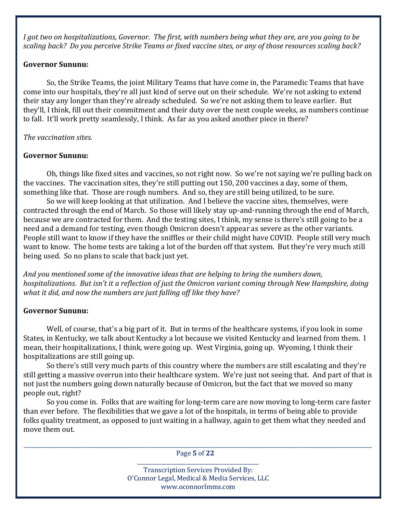I got two on hospitalizations, Governor. The first, with numbers being what they are, are you going to be scaling back? Do you perceive Strike Teams or fixed vaccine sites, or any of those resources scaling back?

### Governor Sununu:

 So, the Strike Teams, the joint Military Teams that have come in, the Paramedic Teams that have come into our hospitals, they're all just kind of serve out on their schedule. We're not asking to extend their stay any longer than they're already scheduled. So we're not asking them to leave earlier. But they'll, I think, fill out their commitment and their duty over the next couple weeks, as numbers continue to fall. It'll work pretty seamlessly, I think. As far as you asked another piece in there?

### The vaccination sites.

### Governor Sununu:

 Oh, things like fixed sites and vaccines, so not right now. So we're not saying we're pulling back on the vaccines. The vaccination sites, they're still putting out 150, 200 vaccines a day, some of them, something like that. Those are rough numbers. And so, they are still being utilized, to be sure.

 So we will keep looking at that utilization. And I believe the vaccine sites, themselves, were contracted through the end of March. So those will likely stay up-and-running through the end of March, because we are contracted for them. And the testing sites, I think, my sense is there's still going to be a need and a demand for testing, even though Omicron doesn't appear as severe as the other variants. People still want to know if they have the sniffles or their child might have COVID. People still very much want to know. The home tests are taking a lot of the burden off that system. But they're very much still being used. So no plans to scale that back just yet.

And you mentioned some of the innovative ideas that are helping to bring the numbers down, hospitalizations. But isn't it a reflection of just the Omicron variant coming through New Hampshire, doing what it did, and now the numbers are just falling off like they have?

### Governor Sununu:

 Well, of course, that's a big part of it. But in terms of the healthcare systems, if you look in some States, in Kentucky, we talk about Kentucky a lot because we visited Kentucky and learned from them. I mean, their hospitalizations, I think, were going up. West Virginia, going up. Wyoming, I think their hospitalizations are still going up.

 So there's still very much parts of this country where the numbers are still escalating and they're still getting a massive overrun into their healthcare system. We're just not seeing that. And part of that is not just the numbers going down naturally because of Omicron, but the fact that we moved so many people out, right?

 So you come in. Folks that are waiting for long-term care are now moving to long-term care faster than ever before. The flexibilities that we gave a lot of the hospitals, in terms of being able to provide folks quality treatment, as opposed to just waiting in a hallway, again to get them what they needed and move them out.

\_\_\_\_\_\_\_\_\_\_\_\_\_\_\_\_\_\_\_\_\_\_\_\_\_\_\_\_\_\_\_\_\_\_\_\_\_\_\_\_\_\_\_\_\_\_\_\_\_\_\_\_\_\_\_\_\_\_\_\_\_\_\_\_\_\_\_\_\_\_\_\_\_\_\_\_\_\_\_\_\_\_\_\_\_\_\_\_\_\_\_\_\_\_\_\_\_\_\_\_\_\_\_\_\_\_\_\_\_\_\_\_\_\_\_\_\_\_\_\_\_\_\_\_\_\_\_\_\_\_\_\_ Page 5 of 22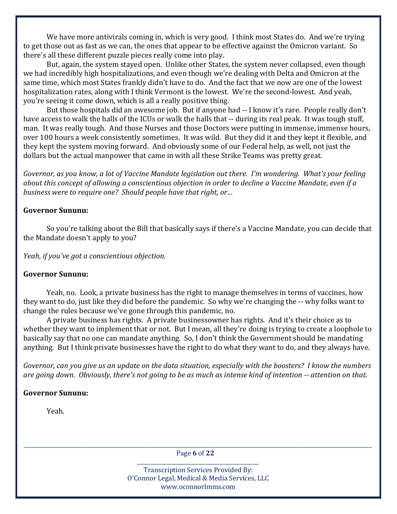We have more antivirals coming in, which is very good. I think most States do. And we're trying to get those out as fast as we can, the ones that appear to be effective against the Omicron variant. So there's all these different puzzle pieces really come into play.

 But, again, the system stayed open. Unlike other States, the system never collapsed, even though we had incredibly high hospitalizations, and even though we're dealing with Delta and Omicron at the same time, which most States frankly didn't have to do. And the fact that we now are one of the lowest hospitalization rates, along with I think Vermont is the lowest. We're the second-lowest. And yeah, you're seeing it come down, which is all a really positive thing.

 But those hospitals did an awesome job. But if anyone had -- I know it's rare. People really don't have access to walk the halls of the ICUs or walk the halls that -- during its real peak. It was tough stuff, man. It was really tough. And those Nurses and those Doctors were putting in immense, immense hours, over 100 hours a week consistently sometimes. It was wild. But they did it and they kept it flexible, and they kept the system moving forward. And obviously some of our Federal help, as well, not just the dollars but the actual manpower that came in with all these Strike Teams was pretty great.

Governor, as you know, a lot of Vaccine Mandate legislation out there. I'm wondering. What's your feeling about this concept of allowing a conscientious objection in order to decline a Vaccine Mandate, even if a business were to require one? Should people have that right, or…

### Governor Sununu:

 So you're talking about the Bill that basically says if there's a Vaccine Mandate, you can decide that the Mandate doesn't apply to you?

Yeah, if you've got a conscientious objection.

### Governor Sununu:

 Yeah, no. Look, a private business has the right to manage themselves in terms of vaccines, how they want to do, just like they did before the pandemic. So why we're changing the -- why folks want to change the rules because we've gone through this pandemic, no.

 A private business has rights. A private businessowner has rights. And it's their choice as to whether they want to implement that or not. But I mean, all they're doing is trying to create a loophole to basically say that no one can mandate anything. So, I don't think the Government should be mandating anything. But I think private businesses have the right to do what they want to do, and they always have.

Governor, can you give us an update on the data situation, especially with the boosters? I know the numbers are going down. Obviously, there's not going to be as much as intense kind of intention -- attention on that.

### Governor Sununu:

Yeah.

\_\_\_\_\_\_\_\_\_\_\_\_\_\_\_\_\_\_\_\_\_\_\_\_\_\_\_\_\_\_\_\_\_\_\_\_\_\_\_\_\_\_\_\_\_\_\_\_\_\_\_\_\_\_\_\_\_\_\_\_\_\_\_\_\_\_\_\_\_\_\_\_\_\_\_\_\_\_\_\_\_\_\_\_\_\_\_\_\_\_\_\_\_\_\_\_\_\_\_\_\_\_\_\_\_\_\_\_\_\_\_\_\_\_\_\_\_\_\_\_\_\_\_\_\_\_\_\_\_\_\_\_ Page 6 of 22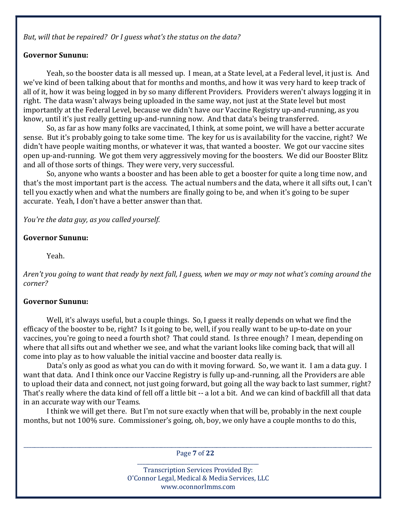But, will that be repaired? Or I guess what's the status on the data?

#### Governor Sununu:

 Yeah, so the booster data is all messed up. I mean, at a State level, at a Federal level, it just is. And we've kind of been talking about that for months and months, and how it was very hard to keep track of all of it, how it was being logged in by so many different Providers. Providers weren't always logging it in right. The data wasn't always being uploaded in the same way, not just at the State level but most importantly at the Federal Level, because we didn't have our Vaccine Registry up-and-running, as you know, until it's just really getting up-and-running now. And that data's being transferred.

 So, as far as how many folks are vaccinated, I think, at some point, we will have a better accurate sense. But it's probably going to take some time. The key for us is availability for the vaccine, right? We didn't have people waiting months, or whatever it was, that wanted a booster. We got our vaccine sites open up-and-running. We got them very aggressively moving for the boosters. We did our Booster Blitz and all of those sorts of things. They were very, very successful.

 So, anyone who wants a booster and has been able to get a booster for quite a long time now, and that's the most important part is the access. The actual numbers and the data, where it all sifts out, I can't tell you exactly when and what the numbers are finally going to be, and when it's going to be super accurate. Yeah, I don't have a better answer than that.

You're the data guy, as you called yourself.

#### Governor Sununu:

Yeah.

Aren't you going to want that ready by next fall, I guess, when we may or may not what's coming around the corner?

#### Governor Sununu:

 Well, it's always useful, but a couple things. So, I guess it really depends on what we find the efficacy of the booster to be, right? Is it going to be, well, if you really want to be up-to-date on your vaccines, you're going to need a fourth shot? That could stand. Is three enough? I mean, depending on where that all sifts out and whether we see, and what the variant looks like coming back, that will all come into play as to how valuable the initial vaccine and booster data really is.

 Data's only as good as what you can do with it moving forward. So, we want it. I am a data guy. I want that data. And I think once our Vaccine Registry is fully up-and-running, all the Providers are able to upload their data and connect, not just going forward, but going all the way back to last summer, right? That's really where the data kind of fell off a little bit -- a lot a bit. And we can kind of backfill all that data in an accurate way with our Teams.

 I think we will get there. But I'm not sure exactly when that will be, probably in the next couple months, but not 100% sure. Commissioner's going, oh, boy, we only have a couple months to do this,

\_\_\_\_\_\_\_\_\_\_\_\_\_\_\_\_\_\_\_\_\_\_\_\_\_\_\_\_\_\_\_\_\_\_\_\_\_\_\_\_\_\_\_\_\_\_\_\_\_\_\_\_\_\_\_\_\_\_\_\_\_\_\_\_\_\_\_\_\_\_\_\_\_\_\_\_\_\_\_\_\_\_\_\_\_\_\_\_\_\_\_\_\_\_\_\_\_\_\_\_\_\_\_\_\_\_\_\_\_\_\_\_\_\_\_\_\_\_\_\_\_\_\_\_\_\_\_\_\_\_\_\_ Page 7 of 22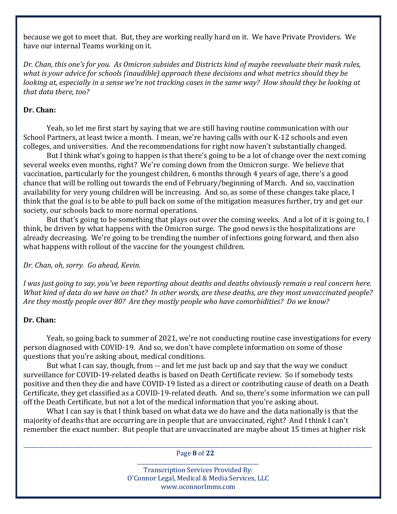because we got to meet that. But, they are working really hard on it. We have Private Providers. We have our internal Teams working on it.

Dr. Chan, this one's for you. As Omicron subsides and Districts kind of maybe reevaluate their mask rules, what is your advice for schools (inaudible) approach these decisions and what metrics should they be looking at, especially in a sense we're not tracking cases in the same way? How should they be looking at that data there, too?

#### Dr. Chan:

 Yeah, so let me first start by saying that we are still having routine communication with our School Partners, at least twice a month. I mean, we're having calls with our K-12 schools and even colleges, and universities. And the recommendations for right now haven't substantially changed.

 But I think what's going to happen is that there's going to be a lot of change over the next coming several weeks even months, right? We're coming down from the Omicron surge. We believe that vaccination, particularly for the youngest children, 6 months through 4 years of age, there's a good chance that will be rolling out towards the end of February/beginning of March. And so, vaccination availability for very young children will be increasing. And so, as some of these changes take place, I think that the goal is to be able to pull back on some of the mitigation measures further, try and get our society, our schools back to more normal operations.

 But that's going to be something that plays out over the coming weeks. And a lot of it is going to, I think, be driven by what happens with the Omicron surge. The good news is the hospitalizations are already decreasing. We're going to be trending the number of infections going forward, and then also what happens with rollout of the vaccine for the youngest children.

Dr. Chan, oh, sorry. Go ahead, Kevin.

I was just going to say, you've been reporting about deaths and deaths obviously remain a real concern here. What kind of data do we have on that? In other words, are these deaths, are they most unvaccinated people? Are they mostly people over 80? Are they mostly people who have comorbidities? Do we know?

### Dr. Chan:

 Yeah, so going back to summer of 2021, we're not conducting routine case investigations for every person diagnosed with COVID-19. And so, we don't have complete information on some of those questions that you're asking about, medical conditions.

 But what I can say, though, from -- and let me just back up and say that the way we conduct surveillance for COVID-19-related deaths is based on Death Certificate review. So if somebody tests positive and then they die and have COVID-19 listed as a direct or contributing cause of death on a Death Certificate, they get classified as a COVID-19-related death. And so, there's some information we can pull off the Death Certificate, but not a lot of the medical information that you're asking about.

 What I can say is that I think based on what data we do have and the data nationally is that the majority of deaths that are occurring are in people that are unvaccinated, right? And I think I can't remember the exact number. But people that are unvaccinated are maybe about 15 times at higher risk

\_\_\_\_\_\_\_\_\_\_\_\_\_\_\_\_\_\_\_\_\_\_\_\_\_\_\_\_\_\_\_\_\_\_\_\_\_\_\_\_\_\_\_\_\_\_\_\_\_\_\_\_\_\_\_\_\_\_\_\_\_\_\_\_\_\_\_\_\_\_\_\_\_\_\_\_\_\_\_\_\_\_\_\_\_\_\_\_\_\_\_\_\_\_\_\_\_\_\_\_\_\_\_\_\_\_\_\_\_\_\_\_\_\_\_\_\_\_\_\_\_\_\_\_\_\_\_\_\_\_\_\_ Page 8 of 22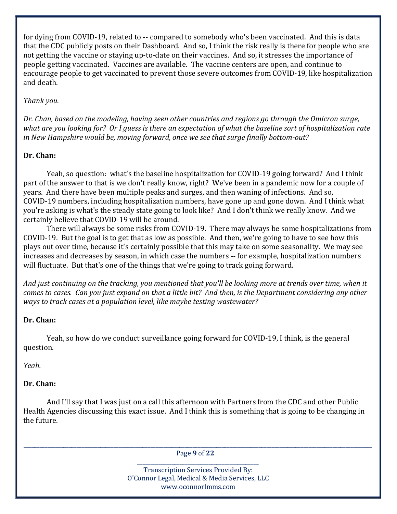for dying from COVID-19, related to -- compared to somebody who's been vaccinated. And this is data that the CDC publicly posts on their Dashboard. And so, I think the risk really is there for people who are not getting the vaccine or staying up-to-date on their vaccines. And so, it stresses the importance of people getting vaccinated. Vaccines are available. The vaccine centers are open, and continue to encourage people to get vaccinated to prevent those severe outcomes from COVID-19, like hospitalization and death.

### Thank you.

Dr. Chan, based on the modeling, having seen other countries and regions go through the Omicron surge, what are you looking for? Or I guess is there an expectation of what the baseline sort of hospitalization rate in New Hampshire would be, moving forward, once we see that surge finally bottom-out?

# Dr. Chan:

 Yeah, so question: what's the baseline hospitalization for COVID-19 going forward? And I think part of the answer to that is we don't really know, right? We've been in a pandemic now for a couple of years. And there have been multiple peaks and surges, and then waning of infections. And so, COVID-19 numbers, including hospitalization numbers, have gone up and gone down. And I think what you're asking is what's the steady state going to look like? And I don't think we really know. And we certainly believe that COVID-19 will be around.

 There will always be some risks from COVID-19. There may always be some hospitalizations from COVID-19. But the goal is to get that as low as possible. And then, we're going to have to see how this plays out over time, because it's certainly possible that this may take on some seasonality. We may see increases and decreases by season, in which case the numbers -- for example, hospitalization numbers will fluctuate. But that's one of the things that we're going to track going forward.

And just continuing on the tracking, you mentioned that you'll be looking more at trends over time, when it comes to cases. Can you just expand on that a little bit? And then, is the Department considering any other ways to track cases at a population level, like maybe testing wastewater?

### Dr. Chan:

 Yeah, so how do we conduct surveillance going forward for COVID-19, I think, is the general question.

Yeah.

# Dr. Chan:

 And I'll say that I was just on a call this afternoon with Partners from the CDC and other Public Health Agencies discussing this exact issue. And I think this is something that is going to be changing in the future.

\_\_\_\_\_\_\_\_\_\_\_\_\_\_\_\_\_\_\_\_\_\_\_\_\_\_\_\_\_\_\_\_\_\_\_\_\_\_\_\_\_\_\_\_\_\_\_\_\_\_\_\_\_\_\_\_\_\_\_\_\_\_\_\_\_\_\_\_\_\_\_\_\_\_\_\_\_\_\_\_\_\_\_\_\_\_\_\_\_\_\_\_\_\_\_\_\_\_\_\_\_\_\_\_\_\_\_\_\_\_\_\_\_\_\_\_\_\_\_\_\_\_\_\_\_\_\_\_\_\_\_\_ Page 9 of 22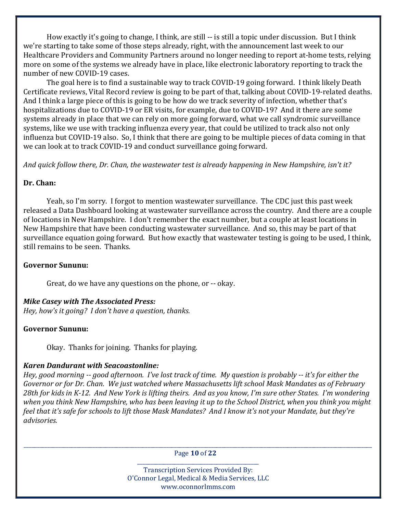How exactly it's going to change, I think, are still -- is still a topic under discussion. But I think we're starting to take some of those steps already, right, with the announcement last week to our Healthcare Providers and Community Partners around no longer needing to report at-home tests, relying more on some of the systems we already have in place, like electronic laboratory reporting to track the number of new COVID-19 cases.

 The goal here is to find a sustainable way to track COVID-19 going forward. I think likely Death Certificate reviews, Vital Record review is going to be part of that, talking about COVID-19-related deaths. And I think a large piece of this is going to be how do we track severity of infection, whether that's hospitalizations due to COVID-19 or ER visits, for example, due to COVID-19? And it there are some systems already in place that we can rely on more going forward, what we call syndromic surveillance systems, like we use with tracking influenza every year, that could be utilized to track also not only influenza but COVID-19 also. So, I think that there are going to be multiple pieces of data coming in that we can look at to track COVID-19 and conduct surveillance going forward.

And quick follow there, Dr. Chan, the wastewater test is already happening in New Hampshire, isn't it?

#### Dr. Chan:

 Yeah, so I'm sorry. I forgot to mention wastewater surveillance. The CDC just this past week released a Data Dashboard looking at wastewater surveillance across the country. And there are a couple of locations in New Hampshire. I don't remember the exact number, but a couple at least locations in New Hampshire that have been conducting wastewater surveillance. And so, this may be part of that surveillance equation going forward. But how exactly that wastewater testing is going to be used, I think, still remains to be seen. Thanks.

#### Governor Sununu:

Great, do we have any questions on the phone, or -- okay.

#### Mike Casey with The Associated Press:

Hey, how's it going? I don't have a question, thanks.

#### Governor Sununu:

Okay. Thanks for joining. Thanks for playing.

#### Karen Dandurant with Seacoastonline:

Hey, good morning -- good afternoon. I've lost track of time. My question is probably -- it's for either the Governor or for Dr. Chan. We just watched where Massachusetts lift school Mask Mandates as of February 28th for kids in K-12. And New York is lifting theirs. And as you know, I'm sure other States. I'm wondering when you think New Hampshire, who has been leaving it up to the School District, when you think you might feel that it's safe for schools to lift those Mask Mandates? And I know it's not your Mandate, but they're advisories.

\_\_\_\_\_\_\_\_\_\_\_\_\_\_\_\_\_\_\_\_\_\_\_\_\_\_\_\_\_\_\_\_\_\_\_\_\_\_\_\_\_\_\_\_\_\_\_\_\_\_\_\_\_\_\_\_\_\_\_\_\_\_\_\_\_\_\_\_\_\_\_\_\_\_\_\_\_\_\_\_\_\_\_\_\_\_\_\_\_\_\_\_\_\_\_\_\_\_\_\_\_\_\_\_\_\_\_\_\_\_\_\_\_\_\_\_\_\_\_\_\_\_\_\_\_\_\_\_\_\_\_\_ Page 10 of 22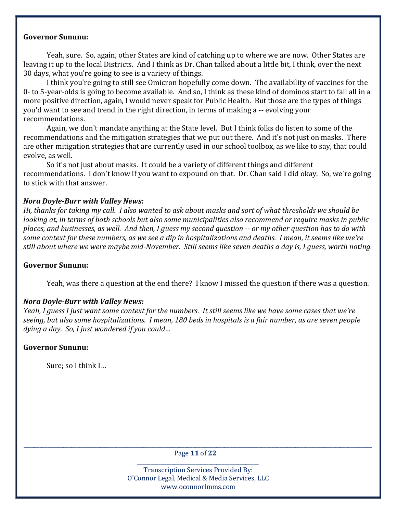#### Governor Sununu:

 Yeah, sure. So, again, other States are kind of catching up to where we are now. Other States are leaving it up to the local Districts. And I think as Dr. Chan talked about a little bit, I think, over the next 30 days, what you're going to see is a variety of things.

 I think you're going to still see Omicron hopefully come down. The availability of vaccines for the 0- to 5-year-olds is going to become available. And so, I think as these kind of dominos start to fall all in a more positive direction, again, I would never speak for Public Health. But those are the types of things you'd want to see and trend in the right direction, in terms of making a -- evolving your recommendations.

 Again, we don't mandate anything at the State level. But I think folks do listen to some of the recommendations and the mitigation strategies that we put out there. And it's not just on masks. There are other mitigation strategies that are currently used in our school toolbox, as we like to say, that could evolve, as well.

 So it's not just about masks. It could be a variety of different things and different recommendations. I don't know if you want to expound on that. Dr. Chan said I did okay. So, we're going to stick with that answer.

#### Nora Doyle-Burr with Valley News:

Hi, thanks for taking my call. I also wanted to ask about masks and sort of what thresholds we should be looking at, in terms of both schools but also some municipalities also recommend or require masks in public places, and businesses, as well. And then, I guess my second question -- or my other question has to do with some context for these numbers, as we see a dip in hospitalizations and deaths. I mean, it seems like we're still about where we were maybe mid-November. Still seems like seven deaths a day is, I guess, worth noting.

#### Governor Sununu:

Yeah, was there a question at the end there? I know I missed the question if there was a question.

### Nora Doyle-Burr with Valley News:

Yeah, I guess I just want some context for the numbers. It still seems like we have some cases that we're seeing, but also some hospitalizations. I mean, 180 beds in hospitals is a fair number, as are seven people dying a day. So, I just wondered if you could…

### Governor Sununu:

Sure; so I think I…

\_\_\_\_\_\_\_\_\_\_\_\_\_\_\_\_\_\_\_\_\_\_\_\_\_\_\_\_\_\_\_\_\_\_\_\_\_\_\_\_\_\_\_\_\_\_\_\_\_\_\_\_\_\_\_\_\_\_\_\_\_\_\_\_\_\_\_\_\_\_\_\_\_\_\_\_\_\_\_\_\_\_\_\_\_\_\_\_\_\_\_\_\_\_\_\_\_\_\_\_\_\_\_\_\_\_\_\_\_\_\_\_\_\_\_\_\_\_\_\_\_\_\_\_\_\_\_\_\_\_\_\_ Page 11 of 22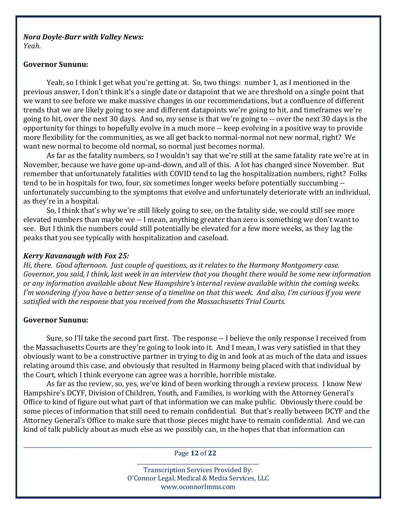#### Nora Doyle-Burr with Valley News: Yeah.

#### Governor Sununu:

 Yeah, so I think I get what you're getting at. So, two things: number 1, as I mentioned in the previous answer, I don't think it's a single date or datapoint that we are threshold on a single point that we want to see before we make massive changes in our recommendations, but a confluence of different trends that we are likely going to see and different datapoints we're going to hit, and timeframes we're going to hit, over the next 30 days. And so, my sense is that we're going to -- over the next 30 days is the opportunity for things to hopefully evolve in a much more -- keep evolving in a positive way to provide more flexibility for the communities, as we all get back to normal-normal not new normal, right? We want new normal to become old normal, so normal just becomes normal.

 As far as the fatality numbers, so I wouldn't say that we're still at the same fatality rate we're at in November, because we have gone up-and-down, and all of this. A lot has changed since November. But remember that unfortunately fatalities with COVID tend to lag the hospitalization numbers, right? Folks tend to be in hospitals for two, four, six sometimes longer weeks before potentially succumbing - unfortunately succumbing to the symptoms that evolve and unfortunately deteriorate with an individual, as they're in a hospital.

 So, I think that's why we're still likely going to see, on the fatality side, we could still see more elevated numbers than maybe we -- I mean, anything greater than zero is something we don't want to see. But I think the numbers could still potentially be elevated for a few more weeks, as they lag the peaks that you see typically with hospitalization and caseload.

### Kerry Kavanaugh with Fox 25:

Hi, there. Good afternoon. Just couple of questions, as it relates to the Harmony Montgomery case. Governor, you said, I think, last week in an interview that you thought there would be some new information or any information available about New Hampshire's internal review available within the coming weeks. I'm wondering if you have a better sense of a timeline on that this week. And also, I'm curious if you were satisfied with the response that you received from the Massachusetts Trial Courts.

#### Governor Sununu:

 Sure, so I'll take the second part first. The response -- I believe the only response I received from the Massachusetts Courts are they're going to look into it. And I mean, I was very satisfied in that they obviously want to be a constructive partner in trying to dig in and look at as much of the data and issues relating around this case, and obviously that resulted in Harmony being placed with that individual by the Court, which I think everyone can agree was a horrible, horrible mistake.

 As far as the review, so, yes, we've kind of been working through a review process. I know New Hampshire's DCYF, Division of Children, Youth, and Families, is working with the Attorney General's Office to kind of figure out what part of that information we can make public. Obviously there could be some pieces of information that still need to remain confidential. But that's really between DCYF and the Attorney General's Office to make sure that those pieces might have to remain confidential. And we can kind of talk publicly about as much else as we possibly can, in the hopes that that information can

\_\_\_\_\_\_\_\_\_\_\_\_\_\_\_\_\_\_\_\_\_\_\_\_\_\_\_\_\_\_\_\_\_\_\_\_\_\_\_\_\_\_\_\_\_\_\_\_\_\_\_\_\_\_\_\_\_\_\_\_\_\_\_\_\_\_\_\_\_\_\_\_\_\_\_\_\_\_\_\_\_\_\_\_\_\_\_\_\_\_\_\_\_\_\_\_\_\_\_\_\_\_\_\_\_\_\_\_\_\_\_\_\_\_\_\_\_\_\_\_\_\_\_\_\_\_\_\_\_\_\_\_ Page 12 of 22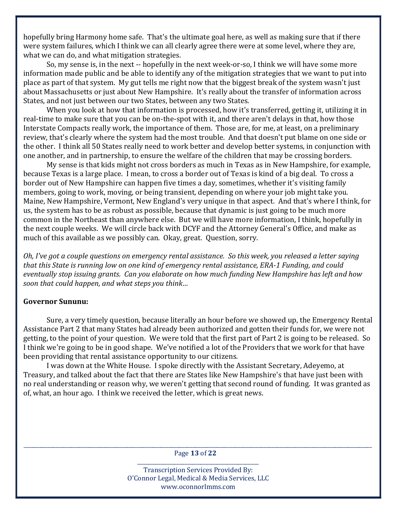hopefully bring Harmony home safe. That's the ultimate goal here, as well as making sure that if there were system failures, which I think we can all clearly agree there were at some level, where they are, what we can do, and what mitigation strategies.

 So, my sense is, in the next -- hopefully in the next week-or-so, I think we will have some more information made public and be able to identify any of the mitigation strategies that we want to put into place as part of that system. My gut tells me right now that the biggest break of the system wasn't just about Massachusetts or just about New Hampshire. It's really about the transfer of information across States, and not just between our two States, between any two States.

 When you look at how that information is processed, how it's transferred, getting it, utilizing it in real-time to make sure that you can be on-the-spot with it, and there aren't delays in that, how those Interstate Compacts really work, the importance of them. Those are, for me, at least, on a preliminary review, that's clearly where the system had the most trouble. And that doesn't put blame on one side or the other. I think all 50 States really need to work better and develop better systems, in conjunction with one another, and in partnership, to ensure the welfare of the children that may be crossing borders.

 My sense is that kids might not cross borders as much in Texas as in New Hampshire, for example, because Texas is a large place. I mean, to cross a border out of Texas is kind of a big deal. To cross a border out of New Hampshire can happen five times a day, sometimes, whether it's visiting family members, going to work, moving, or being transient, depending on where your job might take you. Maine, New Hampshire, Vermont, New England's very unique in that aspect. And that's where I think, for us, the system has to be as robust as possible, because that dynamic is just going to be much more common in the Northeast than anywhere else. But we will have more information, I think, hopefully in the next couple weeks. We will circle back with DCYF and the Attorney General's Office, and make as much of this available as we possibly can. Okay, great. Question, sorry.

Oh, I've got a couple questions on emergency rental assistance. So this week, you released a letter saying that this State is running low on one kind of emergency rental assistance, ERA-1 Funding, and could eventually stop issuing grants. Can you elaborate on how much funding New Hampshire has left and how soon that could happen, and what steps you think…

#### Governor Sununu:

 Sure, a very timely question, because literally an hour before we showed up, the Emergency Rental Assistance Part 2 that many States had already been authorized and gotten their funds for, we were not getting, to the point of your question. We were told that the first part of Part 2 is going to be released. So I think we're going to be in good shape. We've notified a lot of the Providers that we work for that have been providing that rental assistance opportunity to our citizens.

 I was down at the White House. I spoke directly with the Assistant Secretary, Adeyemo, at Treasury, and talked about the fact that there are States like New Hampshire's that have just been with no real understanding or reason why, we weren't getting that second round of funding. It was granted as of, what, an hour ago. I think we received the letter, which is great news.

\_\_\_\_\_\_\_\_\_\_\_\_\_\_\_\_\_\_\_\_\_\_\_\_\_\_\_\_\_\_\_\_\_\_\_\_\_\_\_\_\_\_\_\_\_\_\_\_\_\_\_\_\_\_\_\_\_\_\_\_\_\_\_\_\_\_\_\_\_\_\_\_\_\_\_\_\_\_\_\_\_\_\_\_\_\_\_\_\_\_\_\_\_\_\_\_\_\_\_\_\_\_\_\_\_\_\_\_\_\_\_\_\_\_\_\_\_\_\_\_\_\_\_\_\_\_\_\_\_\_\_\_ Page 13 of 22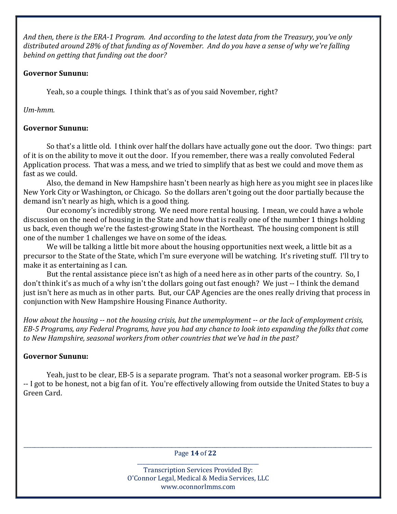And then, there is the ERA-1 Program. And according to the latest data from the Treasury, you've only distributed around 28% of that funding as of November. And do you have a sense of why we're falling behind on getting that funding out the door?

### Governor Sununu:

Yeah, so a couple things. I think that's as of you said November, right?

Um-hmm.

# Governor Sununu:

 So that's a little old. I think over half the dollars have actually gone out the door. Two things: part of it is on the ability to move it out the door. If you remember, there was a really convoluted Federal Application process. That was a mess, and we tried to simplify that as best we could and move them as fast as we could.

 Also, the demand in New Hampshire hasn't been nearly as high here as you might see in places like New York City or Washington, or Chicago. So the dollars aren't going out the door partially because the demand isn't nearly as high, which is a good thing.

 Our economy's incredibly strong. We need more rental housing. I mean, we could have a whole discussion on the need of housing in the State and how that is really one of the number 1 things holding us back, even though we're the fastest-growing State in the Northeast. The housing component is still one of the number 1 challenges we have on some of the ideas.

 We will be talking a little bit more about the housing opportunities next week, a little bit as a precursor to the State of the State, which I'm sure everyone will be watching. It's riveting stuff. I'll try to make it as entertaining as I can.

 But the rental assistance piece isn't as high of a need here as in other parts of the country. So, I don't think it's as much of a why isn't the dollars going out fast enough? We just -- I think the demand just isn't here as much as in other parts. But, our CAP Agencies are the ones really driving that process in conjunction with New Hampshire Housing Finance Authority.

How about the housing -- not the housing crisis, but the unemployment -- or the lack of employment crisis, EB-5 Programs, any Federal Programs, have you had any chance to look into expanding the folks that come to New Hampshire, seasonal workers from other countries that we've had in the past?

# Governor Sununu:

 Yeah, just to be clear, EB-5 is a separate program. That's not a seasonal worker program. EB-5 is -- I got to be honest, not a big fan of it. You're effectively allowing from outside the United States to buy a Green Card.

\_\_\_\_\_\_\_\_\_\_\_\_\_\_\_\_\_\_\_\_\_\_\_\_\_\_\_\_\_\_\_\_\_\_\_\_\_\_\_\_\_\_\_\_\_\_\_\_\_\_\_\_\_\_\_\_\_\_\_\_\_\_\_\_\_\_\_\_\_\_\_\_\_\_\_\_\_\_\_\_\_\_\_\_\_\_\_\_\_\_\_\_\_\_\_\_\_\_\_\_\_\_\_\_\_\_\_\_\_\_\_\_\_\_\_\_\_\_\_\_\_\_\_\_\_\_\_\_\_\_\_\_ Page 14 of 22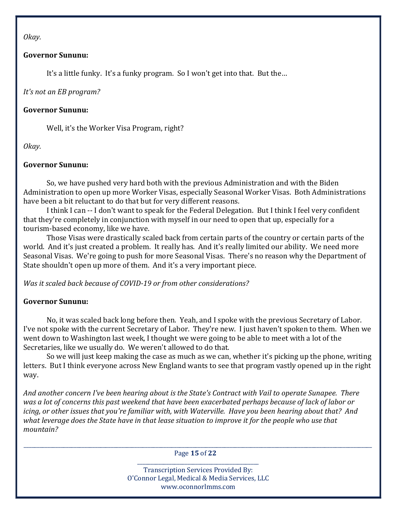Okay.

#### Governor Sununu:

It's a little funky. It's a funky program. So I won't get into that. But the…

It's not an EB program?

### Governor Sununu:

Well, it's the Worker Visa Program, right?

Okay.

### Governor Sununu:

 So, we have pushed very hard both with the previous Administration and with the Biden Administration to open up more Worker Visas, especially Seasonal Worker Visas. Both Administrations have been a bit reluctant to do that but for very different reasons.

 I think I can -- I don't want to speak for the Federal Delegation. But I think I feel very confident that they're completely in conjunction with myself in our need to open that up, especially for a tourism-based economy, like we have.

 Those Visas were drastically scaled back from certain parts of the country or certain parts of the world. And it's just created a problem. It really has. And it's really limited our ability. We need more Seasonal Visas. We're going to push for more Seasonal Visas. There's no reason why the Department of State shouldn't open up more of them. And it's a very important piece.

Was it scaled back because of COVID-19 or from other considerations?

### Governor Sununu:

 No, it was scaled back long before then. Yeah, and I spoke with the previous Secretary of Labor. I've not spoke with the current Secretary of Labor. They're new. I just haven't spoken to them. When we went down to Washington last week, I thought we were going to be able to meet with a lot of the Secretaries, like we usually do. We weren't allowed to do that.

 So we will just keep making the case as much as we can, whether it's picking up the phone, writing letters. But I think everyone across New England wants to see that program vastly opened up in the right way.

And another concern I've been hearing about is the State's Contract with Vail to operate Sunapee. There was a lot of concerns this past weekend that have been exacerbated perhaps because of lack of labor or icing, or other issues that you're familiar with, with Waterville. Have you been hearing about that? And what leverage does the State have in that lease situation to improve it for the people who use that mountain?

\_\_\_\_\_\_\_\_\_\_\_\_\_\_\_\_\_\_\_\_\_\_\_\_\_\_\_\_\_\_\_\_\_\_\_\_\_\_\_\_\_\_\_\_\_\_\_\_\_\_\_\_\_\_\_\_\_\_\_\_\_\_\_\_\_\_\_\_\_\_\_\_\_\_\_\_\_\_\_\_\_\_\_\_\_\_\_\_\_\_\_\_\_\_\_\_\_\_\_\_\_\_\_\_\_\_\_\_\_\_\_\_\_\_\_\_\_\_\_\_\_\_\_\_\_\_\_\_\_\_\_\_ Page 15 of 22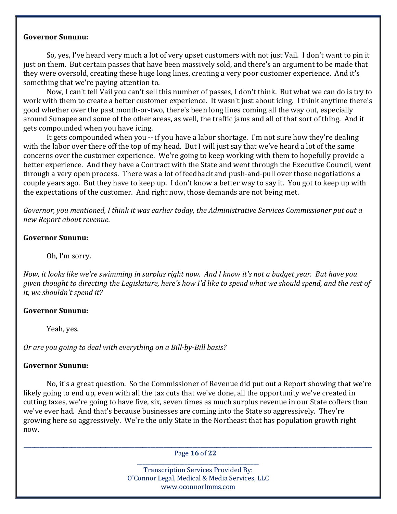#### Governor Sununu:

 So, yes, I've heard very much a lot of very upset customers with not just Vail. I don't want to pin it just on them. But certain passes that have been massively sold, and there's an argument to be made that they were oversold, creating these huge long lines, creating a very poor customer experience. And it's something that we're paying attention to.

 Now, I can't tell Vail you can't sell this number of passes, I don't think. But what we can do is try to work with them to create a better customer experience. It wasn't just about icing. I think anytime there's good whether over the past month-or-two, there's been long lines coming all the way out, especially around Sunapee and some of the other areas, as well, the traffic jams and all of that sort of thing. And it gets compounded when you have icing.

 It gets compounded when you -- if you have a labor shortage. I'm not sure how they're dealing with the labor over there off the top of my head. But I will just say that we've heard a lot of the same concerns over the customer experience. We're going to keep working with them to hopefully provide a better experience. And they have a Contract with the State and went through the Executive Council, went through a very open process. There was a lot of feedback and push-and-pull over those negotiations a couple years ago. But they have to keep up. I don't know a better way to say it. You got to keep up with the expectations of the customer. And right now, those demands are not being met.

Governor, you mentioned, I think it was earlier today, the Administrative Services Commissioner put out a new Report about revenue.

#### Governor Sununu:

Oh, I'm sorry.

Now, it looks like we're swimming in surplus right now. And I know it's not a budget year. But have you given thought to directing the Legislature, here's how I'd like to spend what we should spend, and the rest of it, we shouldn't spend it?

#### Governor Sununu:

Yeah, yes.

Or are you going to deal with everything on a Bill-by-Bill basis?

#### Governor Sununu:

 No, it's a great question. So the Commissioner of Revenue did put out a Report showing that we're likely going to end up, even with all the tax cuts that we've done, all the opportunity we've created in cutting taxes, we're going to have five, six, seven times as much surplus revenue in our State coffers than we've ever had. And that's because businesses are coming into the State so aggressively. They're growing here so aggressively. We're the only State in the Northeast that has population growth right now.

\_\_\_\_\_\_\_\_\_\_\_\_\_\_\_\_\_\_\_\_\_\_\_\_\_\_\_\_\_\_\_\_\_\_\_\_\_\_\_\_\_\_\_\_\_\_\_\_\_\_\_\_\_\_\_\_\_\_\_\_\_\_\_\_\_\_\_\_\_\_\_\_\_\_\_\_\_\_\_\_\_\_\_\_\_\_\_\_\_\_\_\_\_\_\_\_\_\_\_\_\_\_\_\_\_\_\_\_\_\_\_\_\_\_\_\_\_\_\_\_\_\_\_\_\_\_\_\_\_\_\_\_ Page 16 of 22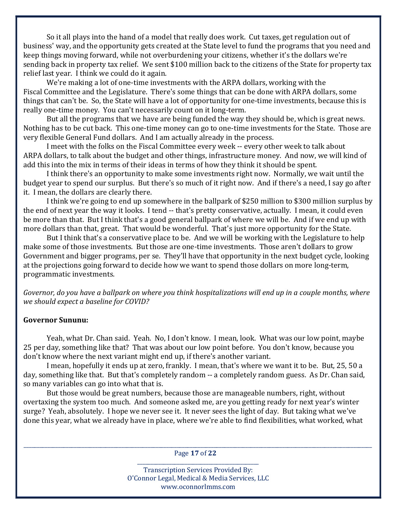So it all plays into the hand of a model that really does work. Cut taxes, get regulation out of business' way, and the opportunity gets created at the State level to fund the programs that you need and keep things moving forward, while not overburdening your citizens, whether it's the dollars we're sending back in property tax relief. We sent \$100 million back to the citizens of the State for property tax relief last year. I think we could do it again.

 We're making a lot of one-time investments with the ARPA dollars, working with the Fiscal Committee and the Legislature. There's some things that can be done with ARPA dollars, some things that can't be. So, the State will have a lot of opportunity for one-time investments, because this is really one-time money. You can't necessarily count on it long-term.

 But all the programs that we have are being funded the way they should be, which is great news. Nothing has to be cut back. This one-time money can go to one-time investments for the State. Those are very flexible General Fund dollars. And I am actually already in the process.

 I meet with the folks on the Fiscal Committee every week -- every other week to talk about ARPA dollars, to talk about the budget and other things, infrastructure money. And now, we will kind of add this into the mix in terms of their ideas in terms of how they think it should be spent.

 I think there's an opportunity to make some investments right now. Normally, we wait until the budget year to spend our surplus. But there's so much of it right now. And if there's a need, I say go after it. I mean, the dollars are clearly there.

 I think we're going to end up somewhere in the ballpark of \$250 million to \$300 million surplus by the end of next year the way it looks. I tend -- that's pretty conservative, actually. I mean, it could even be more than that. But I think that's a good general ballpark of where we will be. And if we end up with more dollars than that, great. That would be wonderful. That's just more opportunity for the State.

 But I think that's a conservative place to be. And we will be working with the Legislature to help make some of those investments. But those are one-time investments. Those aren't dollars to grow Government and bigger programs, per se. They'll have that opportunity in the next budget cycle, looking at the projections going forward to decide how we want to spend those dollars on more long-term, programmatic investments.

Governor, do you have a ballpark on where you think hospitalizations will end up in a couple months, where we should expect a baseline for COVID?

# Governor Sununu:

 Yeah, what Dr. Chan said. Yeah. No, I don't know. I mean, look. What was our low point, maybe 25 per day, something like that? That was about our low point before. You don't know, because you don't know where the next variant might end up, if there's another variant.

 I mean, hopefully it ends up at zero, frankly. I mean, that's where we want it to be. But, 25, 50 a day, something like that. But that's completely random -- a completely random guess. As Dr. Chan said, so many variables can go into what that is.

 But those would be great numbers, because those are manageable numbers, right, without overtaxing the system too much. And someone asked me, are you getting ready for next year's winter surge? Yeah, absolutely. I hope we never see it. It never sees the light of day. But taking what we've done this year, what we already have in place, where we're able to find flexibilities, what worked, what

\_\_\_\_\_\_\_\_\_\_\_\_\_\_\_\_\_\_\_\_\_\_\_\_\_\_\_\_\_\_\_\_\_\_\_\_\_\_\_\_\_\_\_\_\_\_\_\_\_\_\_\_\_\_\_\_\_\_\_\_\_\_\_\_\_\_\_\_\_\_\_\_\_\_\_\_\_\_\_\_\_\_\_\_\_\_\_\_\_\_\_\_\_\_\_\_\_\_\_\_\_\_\_\_\_\_\_\_\_\_\_\_\_\_\_\_\_\_\_\_\_\_\_\_\_\_\_\_\_\_\_\_ Page 17 of 22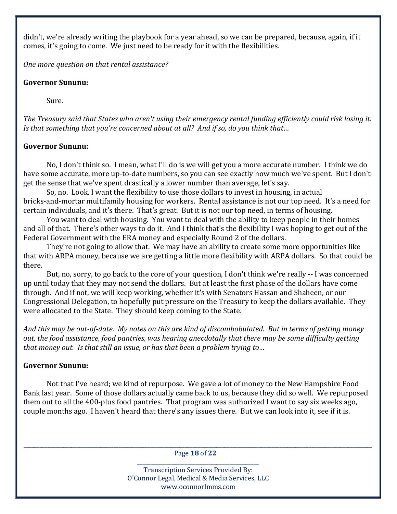didn't, we're already writing the playbook for a year ahead, so we can be prepared, because, again, if it comes, it's going to come. We just need to be ready for it with the flexibilities.

One more question on that rental assistance?

# Governor Sununu:

Sure.

The Treasury said that States who aren't using their emergency rental funding efficiently could risk losing it. Is that something that you're concerned about at all? And if so, do you think that…

# Governor Sununu:

 No, I don't think so. I mean, what I'll do is we will get you a more accurate number. I think we do have some accurate, more up-to-date numbers, so you can see exactly how much we've spent. But I don't get the sense that we've spent drastically a lower number than average, let's say.

 So, no. Look, I want the flexibility to use those dollars to invest in housing, in actual bricks-and-mortar multifamily housing for workers. Rental assistance is not our top need. It's a need for certain individuals, and it's there. That's great. But it is not our top need, in terms of housing.

 You want to deal with housing. You want to deal with the ability to keep people in their homes and all of that. There's other ways to do it. And I think that's the flexibility I was hoping to get out of the Federal Government with the ERA money and especially Round 2 of the dollars.

 They're not going to allow that. We may have an ability to create some more opportunities like that with ARPA money, because we are getting a little more flexibility with ARPA dollars. So that could be there.

 But, no, sorry, to go back to the core of your question, I don't think we're really -- I was concerned up until today that they may not send the dollars. But at least the first phase of the dollars have come through. And if not, we will keep working, whether it's with Senators Hassan and Shaheen, or our Congressional Delegation, to hopefully put pressure on the Treasury to keep the dollars available. They were allocated to the State. They should keep coming to the State.

And this may be out-of-date. My notes on this are kind of discombobulated. But in terms of getting money out, the food assistance, food pantries, was hearing anecdotally that there may be some difficulty getting that money out. Is that still an issue, or has that been a problem trying to…

# Governor Sununu:

 Not that I've heard; we kind of repurpose. We gave a lot of money to the New Hampshire Food Bank last year. Some of those dollars actually came back to us, because they did so well. We repurposed them out to all the 400-plus food pantries. That program was authorized I want to say six weeks ago, couple months ago. I haven't heard that there's any issues there. But we can look into it, see if it is.

\_\_\_\_\_\_\_\_\_\_\_\_\_\_\_\_\_\_\_\_\_\_\_\_\_\_\_\_\_\_\_\_\_\_\_\_\_\_\_\_\_\_\_\_\_\_\_\_\_\_\_\_\_\_\_\_\_\_\_\_\_\_\_\_\_\_\_\_\_\_\_\_\_\_\_\_\_\_\_\_\_\_\_\_\_\_\_\_\_\_\_\_\_\_\_\_\_\_\_\_\_\_\_\_\_\_\_\_\_\_\_\_\_\_\_\_\_\_\_\_\_\_\_\_\_\_\_\_\_\_\_\_ Page 18 of 22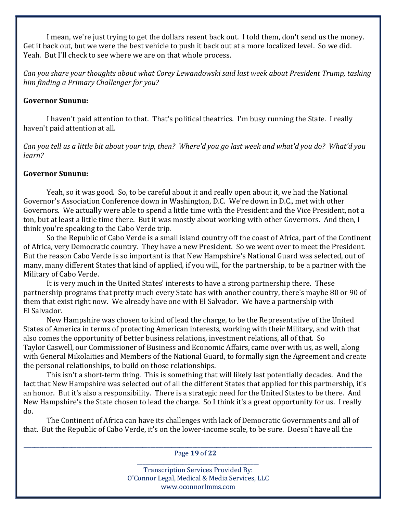I mean, we're just trying to get the dollars resent back out. I told them, don't send us the money. Get it back out, but we were the best vehicle to push it back out at a more localized level. So we did. Yeah. But I'll check to see where we are on that whole process.

Can you share your thoughts about what Corey Lewandowski said last week about President Trump, tasking him finding a Primary Challenger for you?

#### Governor Sununu:

 I haven't paid attention to that. That's political theatrics. I'm busy running the State. I really haven't paid attention at all.

Can you tell us a little bit about your trip, then? Where'd you go last week and what'd you do? What'd you learn?

### Governor Sununu:

 Yeah, so it was good. So, to be careful about it and really open about it, we had the National Governor's Association Conference down in Washington, D.C. We're down in D.C., met with other Governors. We actually were able to spend a little time with the President and the Vice President, not a ton, but at least a little time there. But it was mostly about working with other Governors. And then, I think you're speaking to the Cabo Verde trip.

 So the Republic of Cabo Verde is a small island country off the coast of Africa, part of the Continent of Africa, very Democratic country. They have a new President. So we went over to meet the President. But the reason Cabo Verde is so important is that New Hampshire's National Guard was selected, out of many, many different States that kind of applied, if you will, for the partnership, to be a partner with the Military of Cabo Verde.

 It is very much in the United States' interests to have a strong partnership there. These partnership programs that pretty much every State has with another country, there's maybe 80 or 90 of them that exist right now. We already have one with El Salvador. We have a partnership with El Salvador.

 New Hampshire was chosen to kind of lead the charge, to be the Representative of the United States of America in terms of protecting American interests, working with their Military, and with that also comes the opportunity of better business relations, investment relations, all of that. So Taylor Caswell, our Commissioner of Business and Economic Affairs, came over with us, as well, along with General Mikolaities and Members of the National Guard, to formally sign the Agreement and create the personal relationships, to build on those relationships.

 This isn't a short-term thing. This is something that will likely last potentially decades. And the fact that New Hampshire was selected out of all the different States that applied for this partnership, it's an honor. But it's also a responsibility. There is a strategic need for the United States to be there. And New Hampshire's the State chosen to lead the charge. So I think it's a great opportunity for us. I really do.

 The Continent of Africa can have its challenges with lack of Democratic Governments and all of that. But the Republic of Cabo Verde, it's on the lower-income scale, to be sure. Doesn't have all the

\_\_\_\_\_\_\_\_\_\_\_\_\_\_\_\_\_\_\_\_\_\_\_\_\_\_\_\_\_\_\_\_\_\_\_\_\_\_\_\_\_\_\_\_\_\_\_\_\_\_\_\_\_\_\_\_\_\_\_\_\_\_\_\_\_\_\_\_\_\_\_\_\_\_\_\_\_\_\_\_\_\_\_\_\_\_\_\_\_\_\_\_\_\_\_\_\_\_\_\_\_\_\_\_\_\_\_\_\_\_\_\_\_\_\_\_\_\_\_\_\_\_\_\_\_\_\_\_\_\_\_\_ Page 19 of 22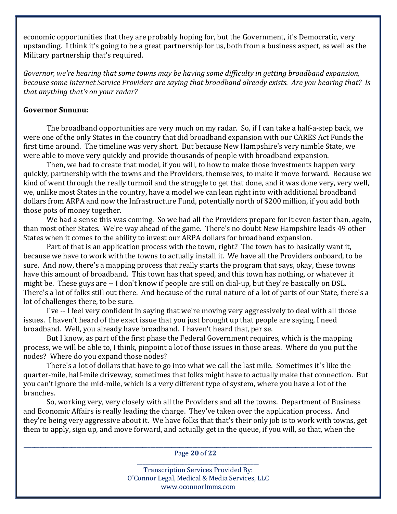economic opportunities that they are probably hoping for, but the Government, it's Democratic, very upstanding. I think it's going to be a great partnership for us, both from a business aspect, as well as the Military partnership that's required.

Governor, we're hearing that some towns may be having some difficulty in getting broadband expansion, because some Internet Service Providers are saying that broadband already exists. Are you hearing that? Is that anything that's on your radar?

#### Governor Sununu:

 The broadband opportunities are very much on my radar. So, if I can take a half-a-step back, we were one of the only States in the country that did broadband expansion with our CARES Act Funds the first time around. The timeline was very short. But because New Hampshire's very nimble State, we were able to move very quickly and provide thousands of people with broadband expansion.

 Then, we had to create that model, if you will, to how to make those investments happen very quickly, partnership with the towns and the Providers, themselves, to make it move forward. Because we kind of went through the really turmoil and the struggle to get that done, and it was done very, very well, we, unlike most States in the country, have a model we can lean right into with additional broadband dollars from ARPA and now the Infrastructure Fund, potentially north of \$200 million, if you add both those pots of money together.

 We had a sense this was coming. So we had all the Providers prepare for it even faster than, again, than most other States. We're way ahead of the game. There's no doubt New Hampshire leads 49 other States when it comes to the ability to invest our ARPA dollars for broadband expansion.

 Part of that is an application process with the town, right? The town has to basically want it, because we have to work with the towns to actually install it. We have all the Providers onboard, to be sure. And now, there's a mapping process that really starts the program that says, okay, these towns have this amount of broadband. This town has that speed, and this town has nothing, or whatever it might be. These guys are -- I don't know if people are still on dial-up, but they're basically on DSL. There's a lot of folks still out there. And because of the rural nature of a lot of parts of our State, there's a lot of challenges there, to be sure.

 I've -- I feel very confident in saying that we're moving very aggressively to deal with all those issues. I haven't heard of the exact issue that you just brought up that people are saying, I need broadband. Well, you already have broadband. I haven't heard that, per se.

 But I know, as part of the first phase the Federal Government requires, which is the mapping process, we will be able to, I think, pinpoint a lot of those issues in those areas. Where do you put the nodes? Where do you expand those nodes?

 There's a lot of dollars that have to go into what we call the last mile. Sometimes it's like the quarter-mile, half-mile driveway, sometimes that folks might have to actually make that connection. But you can't ignore the mid-mile, which is a very different type of system, where you have a lot of the branches.

 So, working very, very closely with all the Providers and all the towns. Department of Business and Economic Affairs is really leading the charge. They've taken over the application process. And they're being very aggressive about it. We have folks that that's their only job is to work with towns, get them to apply, sign up, and move forward, and actually get in the queue, if you will, so that, when the

\_\_\_\_\_\_\_\_\_\_\_\_\_\_\_\_\_\_\_\_\_\_\_\_\_\_\_\_\_\_\_\_\_\_\_\_\_\_\_\_\_\_\_\_\_\_\_\_\_\_\_\_\_\_\_\_\_\_\_\_\_\_\_\_\_\_\_\_\_\_\_\_\_\_\_\_\_\_\_\_\_\_\_\_\_\_\_\_\_\_\_\_\_\_\_\_\_\_\_\_\_\_\_\_\_\_\_\_\_\_\_\_\_\_\_\_\_\_\_\_\_\_\_\_\_\_\_\_\_\_\_\_ Page 20 of 22 \_\_\_\_\_\_\_\_\_\_\_\_\_\_\_\_\_\_\_\_\_\_\_\_\_\_\_\_\_\_\_\_\_\_\_\_\_\_\_\_\_\_\_\_\_\_

> Transcription Services Provided By: O'Connor Legal, Medical & Media Services, LLC www.oconnorlmms.com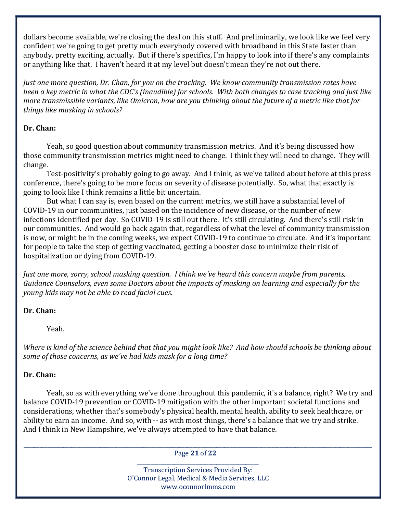dollars become available, we're closing the deal on this stuff. And preliminarily, we look like we feel very confident we're going to get pretty much everybody covered with broadband in this State faster than anybody, pretty exciting, actually. But if there's specifics, I'm happy to look into if there's any complaints or anything like that. I haven't heard it at my level but doesn't mean they're not out there.

Just one more question, Dr. Chan, for you on the tracking. We know community transmission rates have been a key metric in what the CDC's (inaudible) for schools. With both changes to case tracking and just like more transmissible variants, like Omicron, how are you thinking about the future of a metric like that for things like masking in schools?

### Dr. Chan:

 Yeah, so good question about community transmission metrics. And it's being discussed how those community transmission metrics might need to change. I think they will need to change. They will change.

 Test-positivity's probably going to go away. And I think, as we've talked about before at this press conference, there's going to be more focus on severity of disease potentially. So, what that exactly is going to look like I think remains a little bit uncertain.

 But what I can say is, even based on the current metrics, we still have a substantial level of COVID-19 in our communities, just based on the incidence of new disease, or the number of new infections identified per day. So COVID-19 is still out there. It's still circulating. And there's still risk in our communities. And would go back again that, regardless of what the level of community transmission is now, or might be in the coming weeks, we expect COVID-19 to continue to circulate. And it's important for people to take the step of getting vaccinated, getting a booster dose to minimize their risk of hospitalization or dying from COVID-19.

Just one more, sorry, school masking question. I think we've heard this concern maybe from parents, Guidance Counselors, even some Doctors about the impacts of masking on learning and especially for the young kids may not be able to read facial cues.

# Dr. Chan:

Yeah.

Where is kind of the science behind that that you might look like? And how should schools be thinking about some of those concerns, as we've had kids mask for a long time?

# Dr. Chan:

 Yeah, so as with everything we've done throughout this pandemic, it's a balance, right? We try and balance COVID-19 prevention or COVID-19 mitigation with the other important societal functions and considerations, whether that's somebody's physical health, mental health, ability to seek healthcare, or ability to earn an income. And so, with -- as with most things, there's a balance that we try and strike. And I think in New Hampshire, we've always attempted to have that balance.

\_\_\_\_\_\_\_\_\_\_\_\_\_\_\_\_\_\_\_\_\_\_\_\_\_\_\_\_\_\_\_\_\_\_\_\_\_\_\_\_\_\_\_\_\_\_\_\_\_\_\_\_\_\_\_\_\_\_\_\_\_\_\_\_\_\_\_\_\_\_\_\_\_\_\_\_\_\_\_\_\_\_\_\_\_\_\_\_\_\_\_\_\_\_\_\_\_\_\_\_\_\_\_\_\_\_\_\_\_\_\_\_\_\_\_\_\_\_\_\_\_\_\_\_\_\_\_\_\_\_\_\_ Page 21 of 22